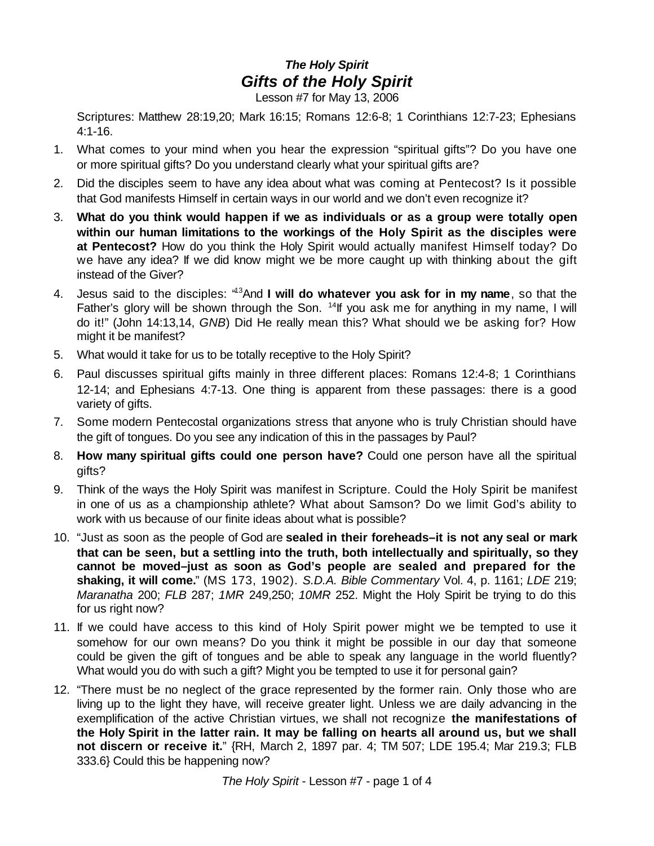## *The Holy Spirit Gifts of the Holy Spirit*

Lesson #7 for May 13, 2006

Scriptures: Matthew 28:19,20; Mark 16:15; Romans 12:6-8; 1 Corinthians 12:7-23; Ephesians 4:1-16.

- 1. What comes to your mind when you hear the expression "spiritual gifts"? Do you have one or more spiritual gifts? Do you understand clearly what your spiritual gifts are?
- 2. Did the disciples seem to have any idea about what was coming at Pentecost? Is it possible that God manifests Himself in certain ways in our world and we don't even recognize it?
- 3. **What do you think would happen if we as individuals or as a group were totally open within our human limitations to the workings of the Holy Spirit as the disciples were at Pentecost?** How do you think the Holy Spirit would actually manifest Himself today? Do we have any idea? If we did know might we be more caught up with thinking about the gift instead of the Giver?
- 4. Jesus said to the disciples: "<sup>13</sup>And **I will do whatever you ask for in my name**, so that the Father's glory will be shown through the Son. <sup>14</sup>lf you ask me for anything in my name, I will do it!" (John 14:13,14, *GNB*) Did He really mean this? What should we be asking for? How might it be manifest?
- 5. What would it take for us to be totally receptive to the Holy Spirit?
- 6. Paul discusses spiritual gifts mainly in three different places: Romans 12:4-8; 1 Corinthians 12-14; and Ephesians 4:7-13. One thing is apparent from these passages: there is a good variety of gifts.
- 7. Some modern Pentecostal organizations stress that anyone who is truly Christian should have the gift of tongues. Do you see any indication of this in the passages by Paul?
- 8. **How many spiritual gifts could one person have?** Could one person have all the spiritual gifts?
- 9. Think of the ways the Holy Spirit was manifest in Scripture. Could the Holy Spirit be manifest in one of us as a championship athlete? What about Samson? Do we limit God's ability to work with us because of our finite ideas about what is possible?
- 10. "Just as soon as the people of God are **sealed in their foreheads–it is not any seal or mark that can be seen, but a settling into the truth, both intellectually and spiritually, so they cannot be moved–just as soon as God's people are sealed and prepared for the shaking, it will come.**" (MS 173, 1902). *S.D.A. Bible Commentary* Vol. 4, p. 1161; *LDE* 219; *Maranatha* 200; *FLB* 287; *1MR* 249,250; *10MR* 252. Might the Holy Spirit be trying to do this for us right now?
- 11. If we could have access to this kind of Holy Spirit power might we be tempted to use it somehow for our own means? Do you think it might be possible in our day that someone could be given the gift of tongues and be able to speak any language in the world fluently? What would you do with such a gift? Might you be tempted to use it for personal gain?
- 12. "There must be no neglect of the grace represented by the former rain. Only those who are living up to the light they have, will receive greater light. Unless we are daily advancing in the exemplification of the active Christian virtues, we shall not recognize **the manifestations of the Holy Spirit in the latter rain. It may be falling on hearts all around us, but we shall not discern or receive it.**" {RH, March 2, 1897 par. 4; TM 507; LDE 195.4; Mar 219.3; FLB 333.6} Could this be happening now?

*The Holy Spirit* - Lesson #7 - page 1 of 4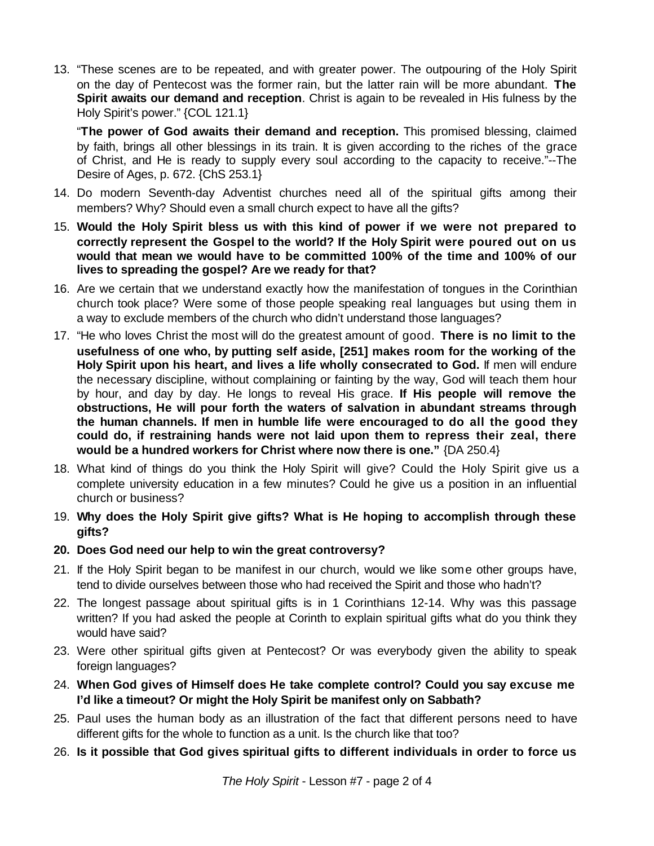13. "These scenes are to be repeated, and with greater power. The outpouring of the Holy Spirit on the day of Pentecost was the former rain, but the latter rain will be more abundant. **The Spirit awaits our demand and reception**. Christ is again to be revealed in His fulness by the Holy Spirit's power." {COL 121.1}

"**The power of God awaits their demand and reception.** This promised blessing, claimed by faith, brings all other blessings in its train. It is given according to the riches of the grace of Christ, and He is ready to supply every soul according to the capacity to receive."--The Desire of Ages, p. 672. {ChS 253.1}

- 14. Do modern Seventh-day Adventist churches need all of the spiritual gifts among their members? Why? Should even a small church expect to have all the gifts?
- 15. **Would the Holy Spirit bless us with this kind of power if we were not prepared to correctly represent the Gospel to the world? If the Holy Spirit were poured out on us would that mean we would have to be committed 100% of the time and 100% of our lives to spreading the gospel? Are we ready for that?**
- 16. Are we certain that we understand exactly how the manifestation of tongues in the Corinthian church took place? Were some of those people speaking real languages but using them in a way to exclude members of the church who didn't understand those languages?
- 17. "He who loves Christ the most will do the greatest amount of good. **There is no limit to the usefulness of one who, by putting self aside, [251] makes room for the working of the Holy Spirit upon his heart, and lives a life wholly consecrated to God.** If men will endure the necessary discipline, without complaining or fainting by the way, God will teach them hour by hour, and day by day. He longs to reveal His grace. **If His people will remove the obstructions, He will pour forth the waters of salvation in abundant streams through the human channels. If men in humble life were encouraged to do all the good they could do, if restraining hands were not laid upon them to repress their zeal, there would be a hundred workers for Christ where now there is one."** {DA 250.4}
- 18. What kind of things do you think the Holy Spirit will give? Could the Holy Spirit give us a complete university education in a few minutes? Could he give us a position in an influential church or business?
- 19. **Why does the Holy Spirit give gifts? What is He hoping to accomplish through these gifts?**
- **20. Does God need our help to win the great controversy?**
- 21. If the Holy Spirit began to be manifest in our church, would we like some other groups have, tend to divide ourselves between those who had received the Spirit and those who hadn't?
- 22. The longest passage about spiritual gifts is in 1 Corinthians 12-14. Why was this passage written? If you had asked the people at Corinth to explain spiritual gifts what do you think they would have said?
- 23. Were other spiritual gifts given at Pentecost? Or was everybody given the ability to speak foreign languages?
- 24. **When God gives of Himself does He take complete control? Could you say excuse me I'd like a timeout? Or might the Holy Spirit be manifest only on Sabbath?**
- 25. Paul uses the human body as an illustration of the fact that different persons need to have different gifts for the whole to function as a unit. Is the church like that too?
- 26. **Is it possible that God gives spiritual gifts to different individuals in order to force us**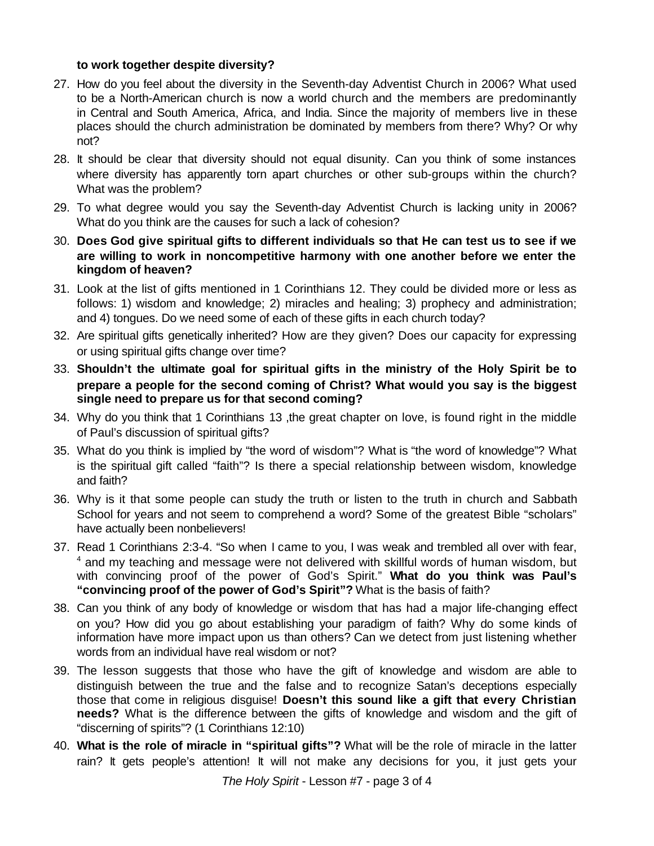## **to work together despite diversity?**

- 27. How do you feel about the diversity in the Seventh-day Adventist Church in 2006? What used to be a North-American church is now a world church and the members are predominantly in Central and South America, Africa, and India. Since the majority of members live in these places should the church administration be dominated by members from there? Why? Or why not?
- 28. It should be clear that diversity should not equal disunity. Can you think of some instances where diversity has apparently torn apart churches or other sub-groups within the church? What was the problem?
- 29. To what degree would you say the Seventh-day Adventist Church is lacking unity in 2006? What do you think are the causes for such a lack of cohesion?
- 30. **Does God give spiritual gifts to different individuals so that He can test us to see if we are willing to work in noncompetitive harmony with one another before we enter the kingdom of heaven?**
- 31. Look at the list of gifts mentioned in 1 Corinthians 12. They could be divided more or less as follows: 1) wisdom and knowledge; 2) miracles and healing; 3) prophecy and administration; and 4) tongues. Do we need some of each of these gifts in each church today?
- 32. Are spiritual gifts genetically inherited? How are they given? Does our capacity for expressing or using spiritual gifts change over time?
- 33. **Shouldn't the ultimate goal for spiritual gifts in the ministry of the Holy Spirit be to prepare a people for the second coming of Christ? What would you say is the biggest single need to prepare us for that second coming?**
- 34. Why do you think that 1 Corinthians 13 ,the great chapter on love, is found right in the middle of Paul's discussion of spiritual gifts?
- 35. What do you think is implied by "the word of wisdom"? What is "the word of knowledge"? What is the spiritual gift called "faith"? Is there a special relationship between wisdom, knowledge and faith?
- 36. Why is it that some people can study the truth or listen to the truth in church and Sabbath School for years and not seem to comprehend a word? Some of the greatest Bible "scholars" have actually been nonbelievers!
- 37. Read 1 Corinthians 2:3-4. "So when I came to you, I was weak and trembled all over with fear, <sup>4</sup> and my teaching and message were not delivered with skillful words of human wisdom, but with convincing proof of the power of God's Spirit." **What do you think was Paul's "convincing proof of the power of God's Spirit"?** What is the basis of faith?
- 38. Can you think of any body of knowledge or wisdom that has had a major life-changing effect on you? How did you go about establishing your paradigm of faith? Why do some kinds of information have more impact upon us than others? Can we detect from just listening whether words from an individual have real wisdom or not?
- 39. The lesson suggests that those who have the gift of knowledge and wisdom are able to distinguish between the true and the false and to recognize Satan's deceptions especially those that come in religious disguise! **Doesn't this sound like a gift that every Christian needs?** What is the difference between the gifts of knowledge and wisdom and the gift of "discerning of spirits"? (1 Corinthians 12:10)
- 40. **What is the role of miracle in "spiritual gifts"?** What will be the role of miracle in the latter rain? It gets people's attention! It will not make any decisions for you, it just gets your